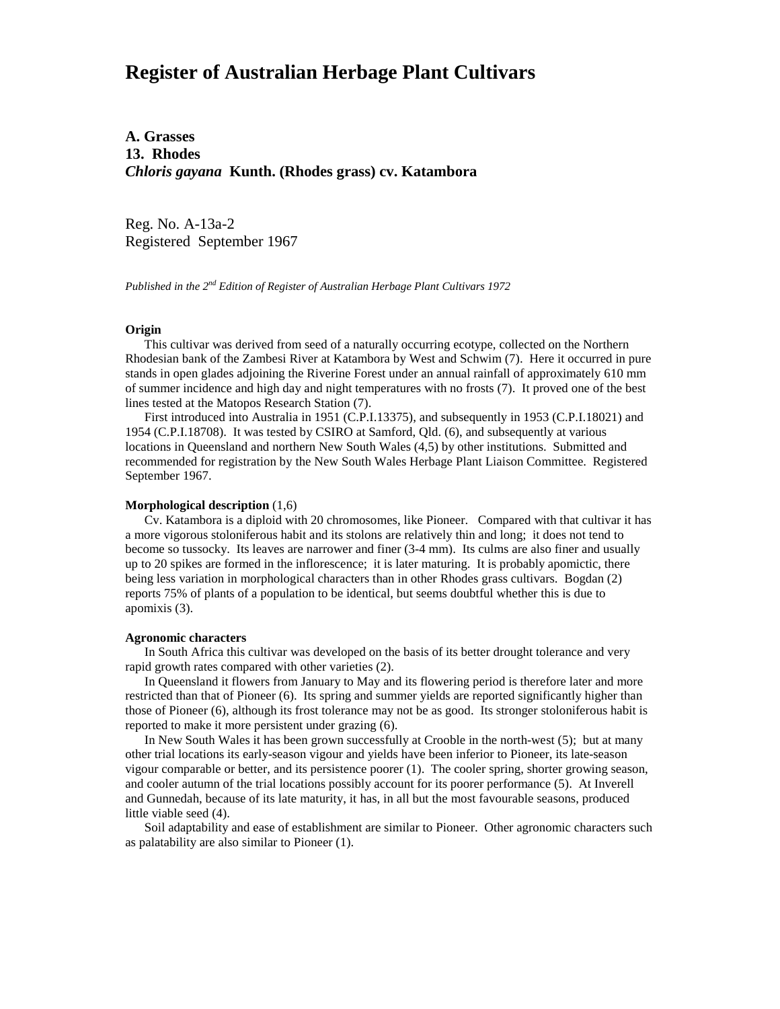# **Register of Australian Herbage Plant Cultivars**

**A. Grasses 13. Rhodes** *Chloris gayana* **Kunth. (Rhodes grass) cv. Katambora**

Reg. No. A-13a-2 Registered September 1967

*Published in the 2nd Edition of Register of Australian Herbage Plant Cultivars 1972*

## **Origin**

 This cultivar was derived from seed of a naturally occurring ecotype, collected on the Northern Rhodesian bank of the Zambesi River at Katambora by West and Schwim (7). Here it occurred in pure stands in open glades adjoining the Riverine Forest under an annual rainfall of approximately 610 mm of summer incidence and high day and night temperatures with no frosts (7). It proved one of the best lines tested at the Matopos Research Station (7).

 First introduced into Australia in 1951 (C.P.I.13375), and subsequently in 1953 (C.P.I.18021) and 1954 (C.P.I.18708). It was tested by CSIRO at Samford, Qld. (6), and subsequently at various locations in Queensland and northern New South Wales (4,5) by other institutions. Submitted and recommended for registration by the New South Wales Herbage Plant Liaison Committee. Registered September 1967.

### **Morphological description** (1,6)

 Cv. Katambora is a diploid with 20 chromosomes, like Pioneer. Compared with that cultivar it has a more vigorous stoloniferous habit and its stolons are relatively thin and long; it does not tend to become so tussocky. Its leaves are narrower and finer (3-4 mm). Its culms are also finer and usually up to 20 spikes are formed in the inflorescence; it is later maturing. It is probably apomictic, there being less variation in morphological characters than in other Rhodes grass cultivars. Bogdan (2) reports 75% of plants of a population to be identical, but seems doubtful whether this is due to apomixis (3).

#### **Agronomic characters**

 In South Africa this cultivar was developed on the basis of its better drought tolerance and very rapid growth rates compared with other varieties (2).

 In Queensland it flowers from January to May and its flowering period is therefore later and more restricted than that of Pioneer (6). Its spring and summer yields are reported significantly higher than those of Pioneer (6), although its frost tolerance may not be as good. Its stronger stoloniferous habit is reported to make it more persistent under grazing (6).

 In New South Wales it has been grown successfully at Crooble in the north-west (5); but at many other trial locations its early-season vigour and yields have been inferior to Pioneer, its late-season vigour comparable or better, and its persistence poorer (1). The cooler spring, shorter growing season, and cooler autumn of the trial locations possibly account for its poorer performance (5). At Inverell and Gunnedah, because of its late maturity, it has, in all but the most favourable seasons, produced little viable seed (4).

 Soil adaptability and ease of establishment are similar to Pioneer. Other agronomic characters such as palatability are also similar to Pioneer (1).